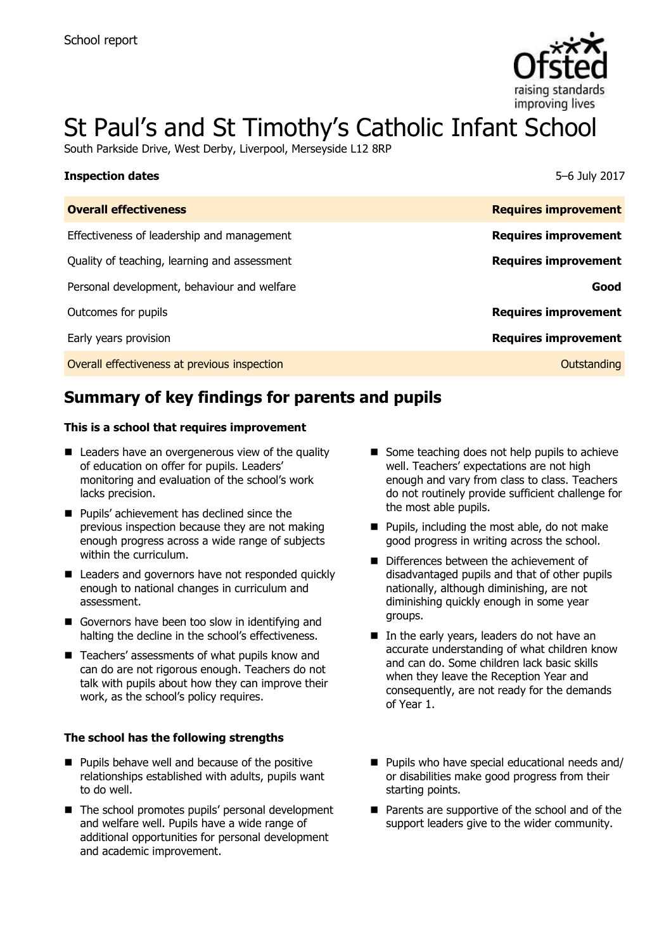

# St Paul's and St Timothy's Catholic Infant School

South Parkside Drive, West Derby, Liverpool, Merseyside L12 8RP

| <b>Inspection dates</b>                      | 5–6 July 2017               |
|----------------------------------------------|-----------------------------|
| <b>Overall effectiveness</b>                 | <b>Requires improvement</b> |
| Effectiveness of leadership and management   | <b>Requires improvement</b> |
| Quality of teaching, learning and assessment | <b>Requires improvement</b> |
| Personal development, behaviour and welfare  | Good                        |
| Outcomes for pupils                          | <b>Requires improvement</b> |
| Early years provision                        | <b>Requires improvement</b> |
| Overall effectiveness at previous inspection | Outstanding                 |

# **Summary of key findings for parents and pupils**

#### **This is a school that requires improvement**

- Leaders have an overgenerous view of the quality of education on offer for pupils. Leaders' monitoring and evaluation of the school's work lacks precision.
- **Pupils'** achievement has declined since the previous inspection because they are not making enough progress across a wide range of subjects within the curriculum.
- Leaders and governors have not responded quickly enough to national changes in curriculum and assessment.
- Governors have been too slow in identifying and halting the decline in the school's effectiveness.
- Teachers' assessments of what pupils know and can do are not rigorous enough. Teachers do not talk with pupils about how they can improve their work, as the school's policy requires.

#### **The school has the following strengths**

- **Pupils behave well and because of the positive** relationships established with adults, pupils want to do well.
- The school promotes pupils' personal development and welfare well. Pupils have a wide range of additional opportunities for personal development and academic improvement.
- Some teaching does not help pupils to achieve well. Teachers' expectations are not high enough and vary from class to class. Teachers do not routinely provide sufficient challenge for the most able pupils.
- $\blacksquare$  Pupils, including the most able, do not make good progress in writing across the school.
- Differences between the achievement of disadvantaged pupils and that of other pupils nationally, although diminishing, are not diminishing quickly enough in some year groups.
- $\blacksquare$  In the early years, leaders do not have an accurate understanding of what children know and can do. Some children lack basic skills when they leave the Reception Year and consequently, are not ready for the demands of Year 1.
- Pupils who have special educational needs and/ or disabilities make good progress from their starting points.
- Parents are supportive of the school and of the support leaders give to the wider community.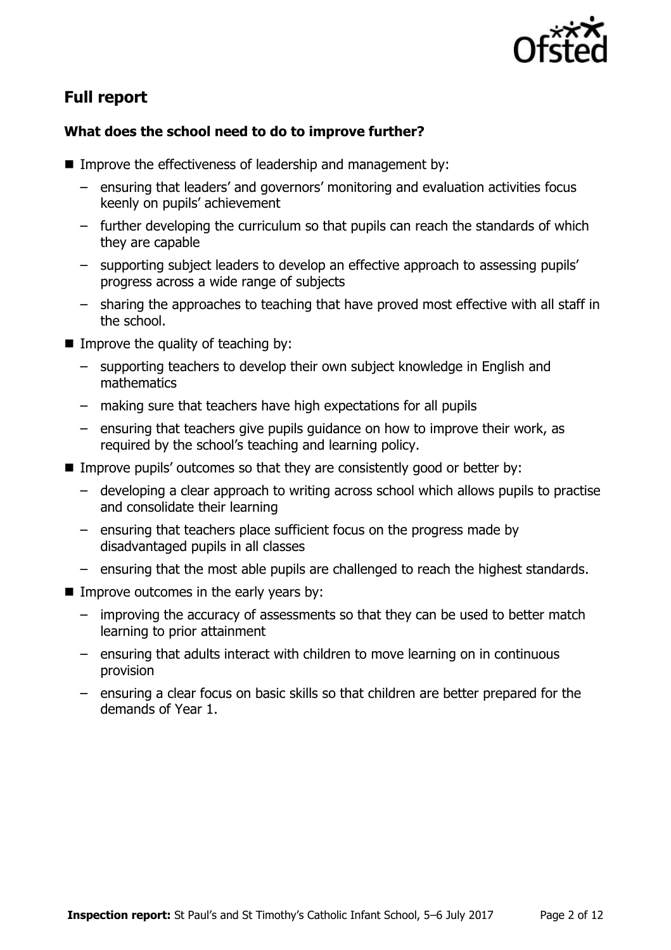

# **Full report**

### **What does the school need to do to improve further?**

- Improve the effectiveness of leadership and management by:
	- ensuring that leaders' and governors' monitoring and evaluation activities focus keenly on pupils' achievement
	- further developing the curriculum so that pupils can reach the standards of which they are capable
	- supporting subject leaders to develop an effective approach to assessing pupils' progress across a wide range of subjects
	- sharing the approaches to teaching that have proved most effective with all staff in the school.
- $\blacksquare$  Improve the quality of teaching by:
	- supporting teachers to develop their own subject knowledge in English and mathematics
	- making sure that teachers have high expectations for all pupils
	- ensuring that teachers give pupils guidance on how to improve their work, as required by the school's teaching and learning policy.
- Improve pupils' outcomes so that they are consistently good or better by:
	- developing a clear approach to writing across school which allows pupils to practise and consolidate their learning
	- ensuring that teachers place sufficient focus on the progress made by disadvantaged pupils in all classes
	- ensuring that the most able pupils are challenged to reach the highest standards.
- Improve outcomes in the early years by:
	- improving the accuracy of assessments so that they can be used to better match learning to prior attainment
	- ensuring that adults interact with children to move learning on in continuous provision
	- ensuring a clear focus on basic skills so that children are better prepared for the demands of Year 1.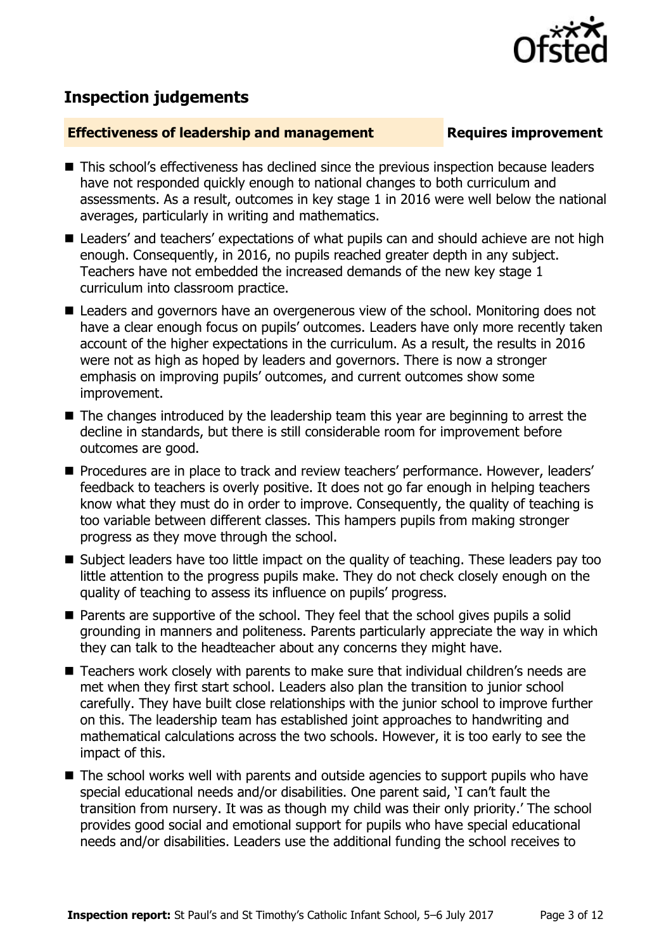

## **Inspection judgements**

#### **Effectiveness of leadership and management Requires improvement**

- This school's effectiveness has declined since the previous inspection because leaders have not responded quickly enough to national changes to both curriculum and assessments. As a result, outcomes in key stage 1 in 2016 were well below the national averages, particularly in writing and mathematics.
- Leaders' and teachers' expectations of what pupils can and should achieve are not high enough. Consequently, in 2016, no pupils reached greater depth in any subject. Teachers have not embedded the increased demands of the new key stage 1 curriculum into classroom practice.
- Leaders and governors have an overgenerous view of the school. Monitoring does not have a clear enough focus on pupils' outcomes. Leaders have only more recently taken account of the higher expectations in the curriculum. As a result, the results in 2016 were not as high as hoped by leaders and governors. There is now a stronger emphasis on improving pupils' outcomes, and current outcomes show some improvement.
- $\blacksquare$  The changes introduced by the leadership team this year are beginning to arrest the decline in standards, but there is still considerable room for improvement before outcomes are good.
- **Procedures are in place to track and review teachers' performance. However, leaders'** feedback to teachers is overly positive. It does not go far enough in helping teachers know what they must do in order to improve. Consequently, the quality of teaching is too variable between different classes. This hampers pupils from making stronger progress as they move through the school.
- Subject leaders have too little impact on the quality of teaching. These leaders pay too little attention to the progress pupils make. They do not check closely enough on the quality of teaching to assess its influence on pupils' progress.
- Parents are supportive of the school. They feel that the school gives pupils a solid grounding in manners and politeness. Parents particularly appreciate the way in which they can talk to the headteacher about any concerns they might have.
- Teachers work closely with parents to make sure that individual children's needs are met when they first start school. Leaders also plan the transition to junior school carefully. They have built close relationships with the junior school to improve further on this. The leadership team has established joint approaches to handwriting and mathematical calculations across the two schools. However, it is too early to see the impact of this.
- The school works well with parents and outside agencies to support pupils who have special educational needs and/or disabilities. One parent said, 'I can't fault the transition from nursery. It was as though my child was their only priority.' The school provides good social and emotional support for pupils who have special educational needs and/or disabilities. Leaders use the additional funding the school receives to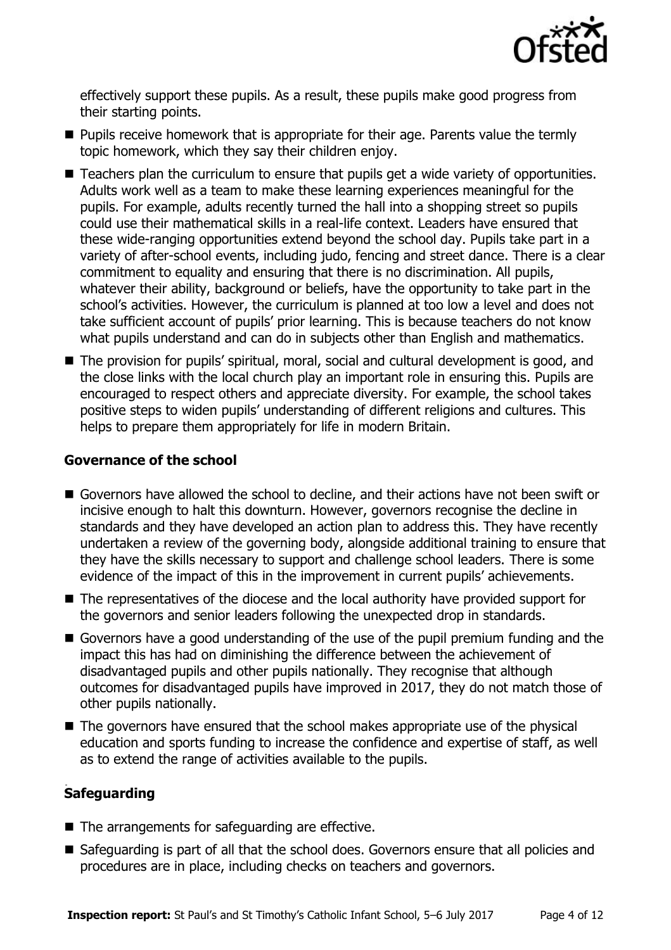

effectively support these pupils. As a result, these pupils make good progress from their starting points.

- **Pupils receive homework that is appropriate for their age. Parents value the termly** topic homework, which they say their children enjoy.
- Teachers plan the curriculum to ensure that pupils get a wide variety of opportunities. Adults work well as a team to make these learning experiences meaningful for the pupils. For example, adults recently turned the hall into a shopping street so pupils could use their mathematical skills in a real-life context. Leaders have ensured that these wide-ranging opportunities extend beyond the school day. Pupils take part in a variety of after-school events, including judo, fencing and street dance. There is a clear commitment to equality and ensuring that there is no discrimination. All pupils, whatever their ability, background or beliefs, have the opportunity to take part in the school's activities. However, the curriculum is planned at too low a level and does not take sufficient account of pupils' prior learning. This is because teachers do not know what pupils understand and can do in subjects other than English and mathematics.
- The provision for pupils' spiritual, moral, social and cultural development is good, and the close links with the local church play an important role in ensuring this. Pupils are encouraged to respect others and appreciate diversity. For example, the school takes positive steps to widen pupils' understanding of different religions and cultures. This helps to prepare them appropriately for life in modern Britain.

#### **Governance of the school**

- Governors have allowed the school to decline, and their actions have not been swift or incisive enough to halt this downturn. However, governors recognise the decline in standards and they have developed an action plan to address this. They have recently undertaken a review of the governing body, alongside additional training to ensure that they have the skills necessary to support and challenge school leaders. There is some evidence of the impact of this in the improvement in current pupils' achievements.
- The representatives of the diocese and the local authority have provided support for the governors and senior leaders following the unexpected drop in standards.
- Governors have a good understanding of the use of the pupil premium funding and the impact this has had on diminishing the difference between the achievement of disadvantaged pupils and other pupils nationally. They recognise that although outcomes for disadvantaged pupils have improved in 2017, they do not match those of other pupils nationally.
- The governors have ensured that the school makes appropriate use of the physical education and sports funding to increase the confidence and expertise of staff, as well as to extend the range of activities available to the pupils.

#### . **Safeguarding**

- The arrangements for safeguarding are effective.
- Safeguarding is part of all that the school does. Governors ensure that all policies and procedures are in place, including checks on teachers and governors.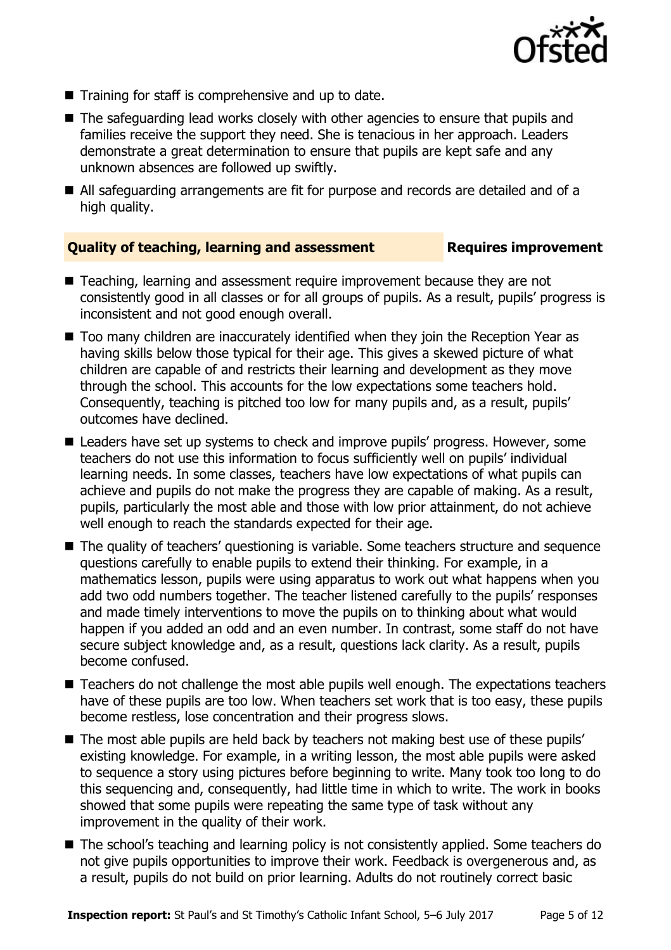

- $\blacksquare$  Training for staff is comprehensive and up to date.
- The safeguarding lead works closely with other agencies to ensure that pupils and families receive the support they need. She is tenacious in her approach. Leaders demonstrate a great determination to ensure that pupils are kept safe and any unknown absences are followed up swiftly.
- All safeguarding arrangements are fit for purpose and records are detailed and of a high quality.

### **Quality of teaching, learning and assessment Requires improvement**

- Teaching, learning and assessment require improvement because they are not consistently good in all classes or for all groups of pupils. As a result, pupils' progress is inconsistent and not good enough overall.
- Too many children are inaccurately identified when they join the Reception Year as having skills below those typical for their age. This gives a skewed picture of what children are capable of and restricts their learning and development as they move through the school. This accounts for the low expectations some teachers hold. Consequently, teaching is pitched too low for many pupils and, as a result, pupils' outcomes have declined.
- Leaders have set up systems to check and improve pupils' progress. However, some teachers do not use this information to focus sufficiently well on pupils' individual learning needs. In some classes, teachers have low expectations of what pupils can achieve and pupils do not make the progress they are capable of making. As a result, pupils, particularly the most able and those with low prior attainment, do not achieve well enough to reach the standards expected for their age.
- The quality of teachers' questioning is variable. Some teachers structure and sequence questions carefully to enable pupils to extend their thinking. For example, in a mathematics lesson, pupils were using apparatus to work out what happens when you add two odd numbers together. The teacher listened carefully to the pupils' responses and made timely interventions to move the pupils on to thinking about what would happen if you added an odd and an even number. In contrast, some staff do not have secure subject knowledge and, as a result, questions lack clarity. As a result, pupils become confused.
- Teachers do not challenge the most able pupils well enough. The expectations teachers have of these pupils are too low. When teachers set work that is too easy, these pupils become restless, lose concentration and their progress slows.
- The most able pupils are held back by teachers not making best use of these pupils' existing knowledge. For example, in a writing lesson, the most able pupils were asked to sequence a story using pictures before beginning to write. Many took too long to do this sequencing and, consequently, had little time in which to write. The work in books showed that some pupils were repeating the same type of task without any improvement in the quality of their work.
- The school's teaching and learning policy is not consistently applied. Some teachers do not give pupils opportunities to improve their work. Feedback is overgenerous and, as a result, pupils do not build on prior learning. Adults do not routinely correct basic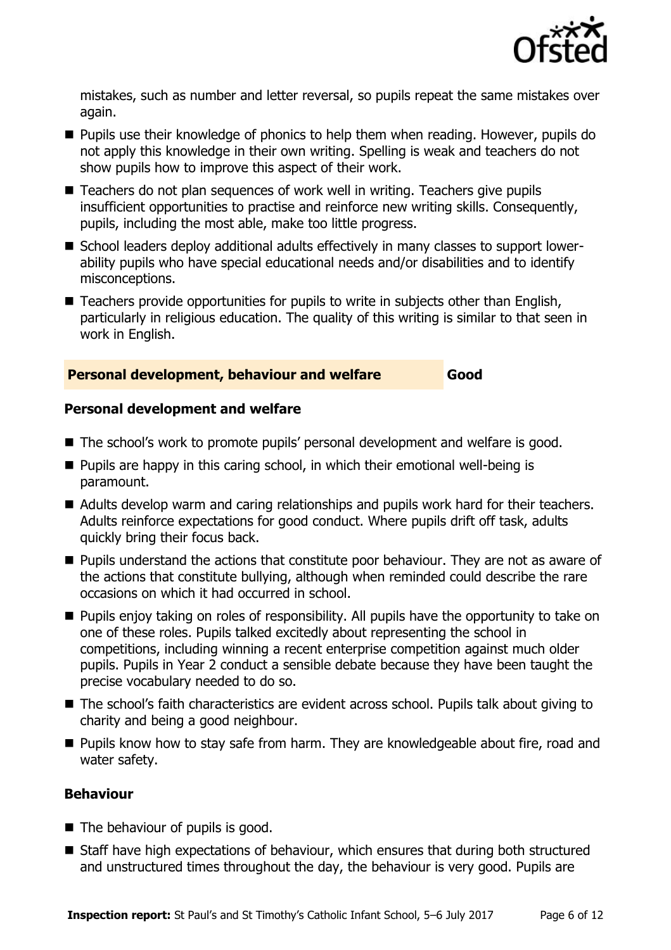

mistakes, such as number and letter reversal, so pupils repeat the same mistakes over again.

- **Pupils use their knowledge of phonics to help them when reading. However, pupils do** not apply this knowledge in their own writing. Spelling is weak and teachers do not show pupils how to improve this aspect of their work.
- Teachers do not plan sequences of work well in writing. Teachers give pupils insufficient opportunities to practise and reinforce new writing skills. Consequently, pupils, including the most able, make too little progress.
- School leaders deploy additional adults effectively in many classes to support lowerability pupils who have special educational needs and/or disabilities and to identify misconceptions.
- Teachers provide opportunities for pupils to write in subjects other than English, particularly in religious education. The quality of this writing is similar to that seen in work in English.

#### **Personal development, behaviour and welfare Good**

#### **Personal development and welfare**

- The school's work to promote pupils' personal development and welfare is good.
- $\blacksquare$  Pupils are happy in this caring school, in which their emotional well-being is paramount.
- Adults develop warm and caring relationships and pupils work hard for their teachers. Adults reinforce expectations for good conduct. Where pupils drift off task, adults quickly bring their focus back.
- **Pupils understand the actions that constitute poor behaviour. They are not as aware of** the actions that constitute bullying, although when reminded could describe the rare occasions on which it had occurred in school.
- **Pupils enjoy taking on roles of responsibility. All pupils have the opportunity to take on** one of these roles. Pupils talked excitedly about representing the school in competitions, including winning a recent enterprise competition against much older pupils. Pupils in Year 2 conduct a sensible debate because they have been taught the precise vocabulary needed to do so.
- The school's faith characteristics are evident across school. Pupils talk about giving to charity and being a good neighbour.
- Pupils know how to stay safe from harm. They are knowledgeable about fire, road and water safety.

#### **Behaviour**

- The behaviour of pupils is good.
- Staff have high expectations of behaviour, which ensures that during both structured and unstructured times throughout the day, the behaviour is very good. Pupils are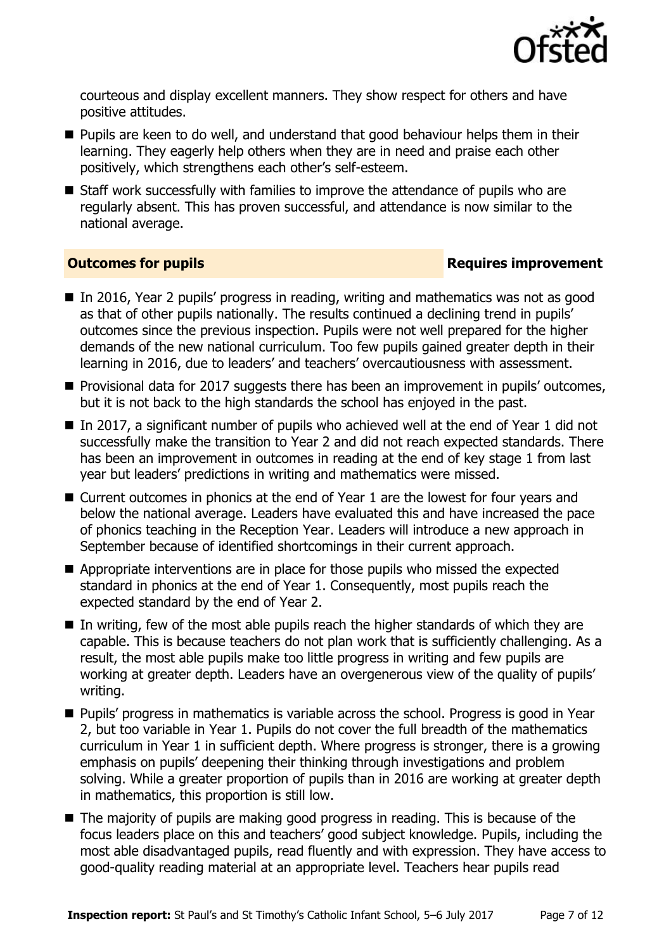

courteous and display excellent manners. They show respect for others and have positive attitudes.

- **Pupils are keen to do well, and understand that good behaviour helps them in their** learning. They eagerly help others when they are in need and praise each other positively, which strengthens each other's self-esteem.
- Staff work successfully with families to improve the attendance of pupils who are regularly absent. This has proven successful, and attendance is now similar to the national average.

### **Outcomes for pupils Requires improvement**

- In 2016, Year 2 pupils' progress in reading, writing and mathematics was not as good as that of other pupils nationally. The results continued a declining trend in pupils' outcomes since the previous inspection. Pupils were not well prepared for the higher demands of the new national curriculum. Too few pupils gained greater depth in their learning in 2016, due to leaders' and teachers' overcautiousness with assessment.
- Provisional data for 2017 suggests there has been an improvement in pupils' outcomes, but it is not back to the high standards the school has enjoyed in the past.
- In 2017, a significant number of pupils who achieved well at the end of Year 1 did not successfully make the transition to Year 2 and did not reach expected standards. There has been an improvement in outcomes in reading at the end of key stage 1 from last year but leaders' predictions in writing and mathematics were missed.
- Current outcomes in phonics at the end of Year 1 are the lowest for four years and below the national average. Leaders have evaluated this and have increased the pace of phonics teaching in the Reception Year. Leaders will introduce a new approach in September because of identified shortcomings in their current approach.
- Appropriate interventions are in place for those pupils who missed the expected standard in phonics at the end of Year 1. Consequently, most pupils reach the expected standard by the end of Year 2.
- $\blacksquare$  In writing, few of the most able pupils reach the higher standards of which they are capable. This is because teachers do not plan work that is sufficiently challenging. As a result, the most able pupils make too little progress in writing and few pupils are working at greater depth. Leaders have an overgenerous view of the quality of pupils' writing.
- **Pupils' progress in mathematics is variable across the school. Progress is good in Year** 2, but too variable in Year 1. Pupils do not cover the full breadth of the mathematics curriculum in Year 1 in sufficient depth. Where progress is stronger, there is a growing emphasis on pupils' deepening their thinking through investigations and problem solving. While a greater proportion of pupils than in 2016 are working at greater depth in mathematics, this proportion is still low.
- $\blacksquare$  The majority of pupils are making good progress in reading. This is because of the focus leaders place on this and teachers' good subject knowledge. Pupils, including the most able disadvantaged pupils, read fluently and with expression. They have access to good-quality reading material at an appropriate level. Teachers hear pupils read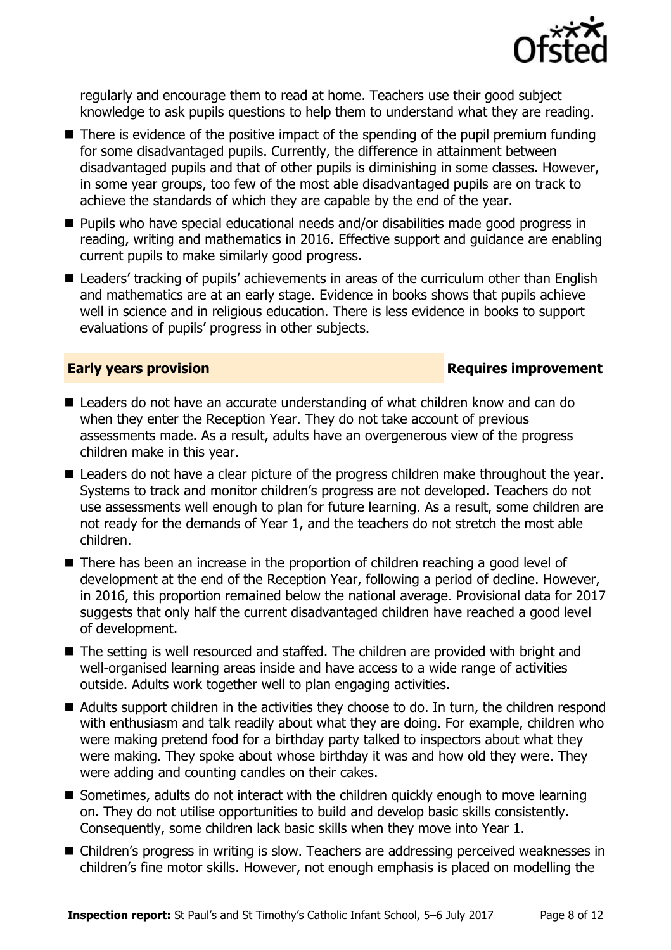

regularly and encourage them to read at home. Teachers use their good subject knowledge to ask pupils questions to help them to understand what they are reading.

- $\blacksquare$  There is evidence of the positive impact of the spending of the pupil premium funding for some disadvantaged pupils. Currently, the difference in attainment between disadvantaged pupils and that of other pupils is diminishing in some classes. However, in some year groups, too few of the most able disadvantaged pupils are on track to achieve the standards of which they are capable by the end of the year.
- Pupils who have special educational needs and/or disabilities made good progress in reading, writing and mathematics in 2016. Effective support and guidance are enabling current pupils to make similarly good progress.
- Leaders' tracking of pupils' achievements in areas of the curriculum other than English and mathematics are at an early stage. Evidence in books shows that pupils achieve well in science and in religious education. There is less evidence in books to support evaluations of pupils' progress in other subjects.

#### **Early years provision Requires improvement**

- Leaders do not have an accurate understanding of what children know and can do when they enter the Reception Year. They do not take account of previous assessments made. As a result, adults have an overgenerous view of the progress children make in this year.
- **E** Leaders do not have a clear picture of the progress children make throughout the year. Systems to track and monitor children's progress are not developed. Teachers do not use assessments well enough to plan for future learning. As a result, some children are not ready for the demands of Year 1, and the teachers do not stretch the most able children.
- There has been an increase in the proportion of children reaching a good level of development at the end of the Reception Year, following a period of decline. However, in 2016, this proportion remained below the national average. Provisional data for 2017 suggests that only half the current disadvantaged children have reached a good level of development.
- The setting is well resourced and staffed. The children are provided with bright and well-organised learning areas inside and have access to a wide range of activities outside. Adults work together well to plan engaging activities.
- Adults support children in the activities they choose to do. In turn, the children respond with enthusiasm and talk readily about what they are doing. For example, children who were making pretend food for a birthday party talked to inspectors about what they were making. They spoke about whose birthday it was and how old they were. They were adding and counting candles on their cakes.
- $\blacksquare$  Sometimes, adults do not interact with the children quickly enough to move learning on. They do not utilise opportunities to build and develop basic skills consistently. Consequently, some children lack basic skills when they move into Year 1.
- Children's progress in writing is slow. Teachers are addressing perceived weaknesses in children's fine motor skills. However, not enough emphasis is placed on modelling the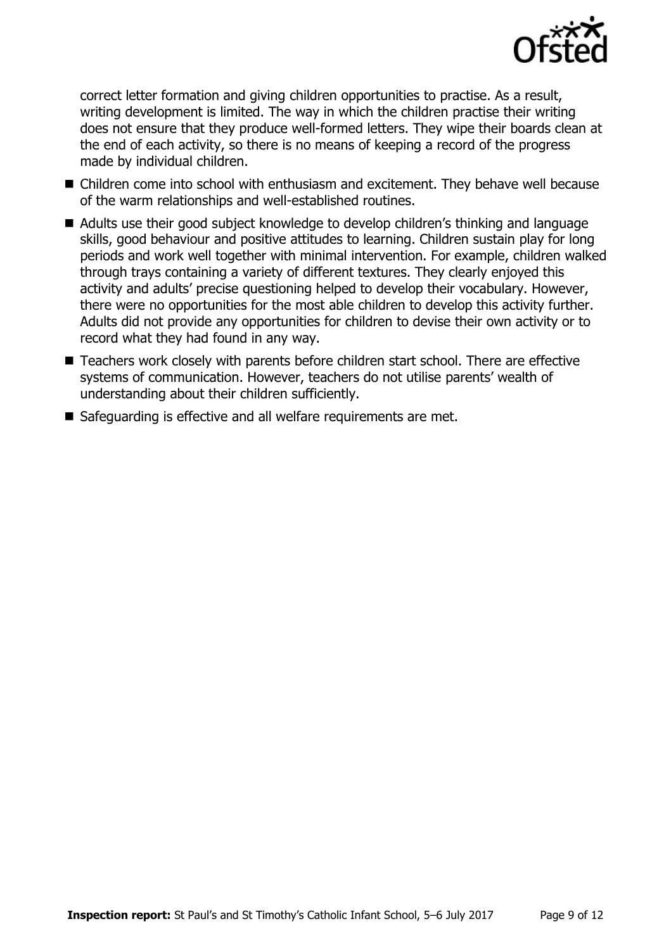

correct letter formation and giving children opportunities to practise. As a result, writing development is limited. The way in which the children practise their writing does not ensure that they produce well-formed letters. They wipe their boards clean at the end of each activity, so there is no means of keeping a record of the progress made by individual children.

- Children come into school with enthusiasm and excitement. They behave well because of the warm relationships and well-established routines.
- Adults use their good subject knowledge to develop children's thinking and language skills, good behaviour and positive attitudes to learning. Children sustain play for long periods and work well together with minimal intervention. For example, children walked through trays containing a variety of different textures. They clearly enjoyed this activity and adults' precise questioning helped to develop their vocabulary. However, there were no opportunities for the most able children to develop this activity further. Adults did not provide any opportunities for children to devise their own activity or to record what they had found in any way.
- Teachers work closely with parents before children start school. There are effective systems of communication. However, teachers do not utilise parents' wealth of understanding about their children sufficiently.
- Safeguarding is effective and all welfare requirements are met.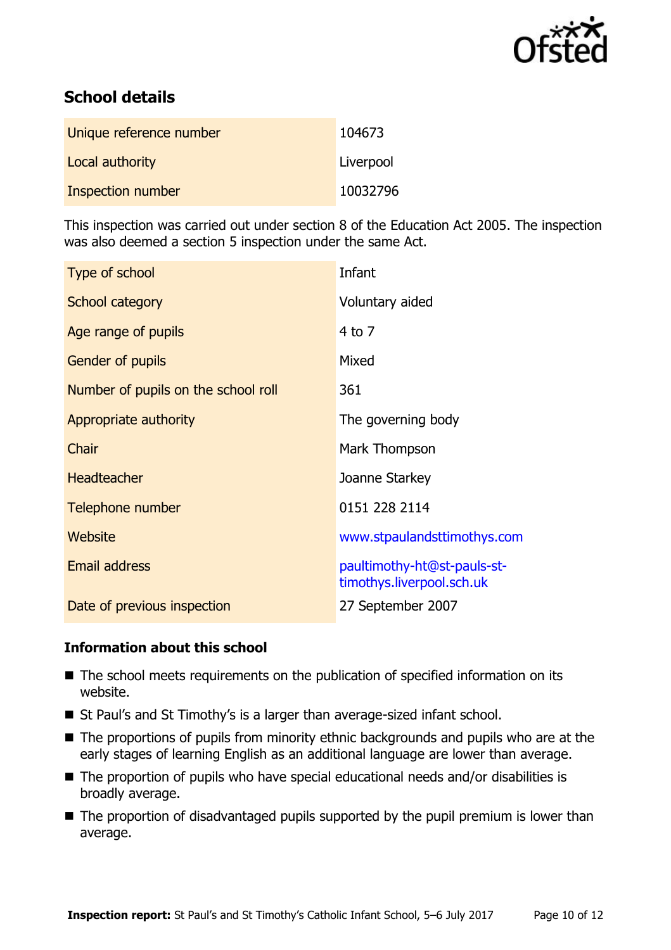

# **School details**

| Unique reference number | 104673    |
|-------------------------|-----------|
| Local authority         | Liverpool |
| Inspection number       | 10032796  |

This inspection was carried out under section 8 of the Education Act 2005. The inspection was also deemed a section 5 inspection under the same Act.

| Type of school                      | Infant                                                   |
|-------------------------------------|----------------------------------------------------------|
| School category                     | Voluntary aided                                          |
| Age range of pupils                 | 4 to 7                                                   |
| Gender of pupils                    | Mixed                                                    |
| Number of pupils on the school roll | 361                                                      |
| Appropriate authority               | The governing body                                       |
| Chair                               | Mark Thompson                                            |
| <b>Headteacher</b>                  | Joanne Starkey                                           |
| Telephone number                    | 0151 228 2114                                            |
| Website                             | www.stpaulandsttimothys.com                              |
| <b>Email address</b>                | paultimothy-ht@st-pauls-st-<br>timothys.liverpool.sch.uk |
| Date of previous inspection         | 27 September 2007                                        |

### **Information about this school**

- The school meets requirements on the publication of specified information on its website.
- St Paul's and St Timothy's is a larger than average-sized infant school.
- The proportions of pupils from minority ethnic backgrounds and pupils who are at the early stages of learning English as an additional language are lower than average.
- The proportion of pupils who have special educational needs and/or disabilities is broadly average.
- The proportion of disadvantaged pupils supported by the pupil premium is lower than average.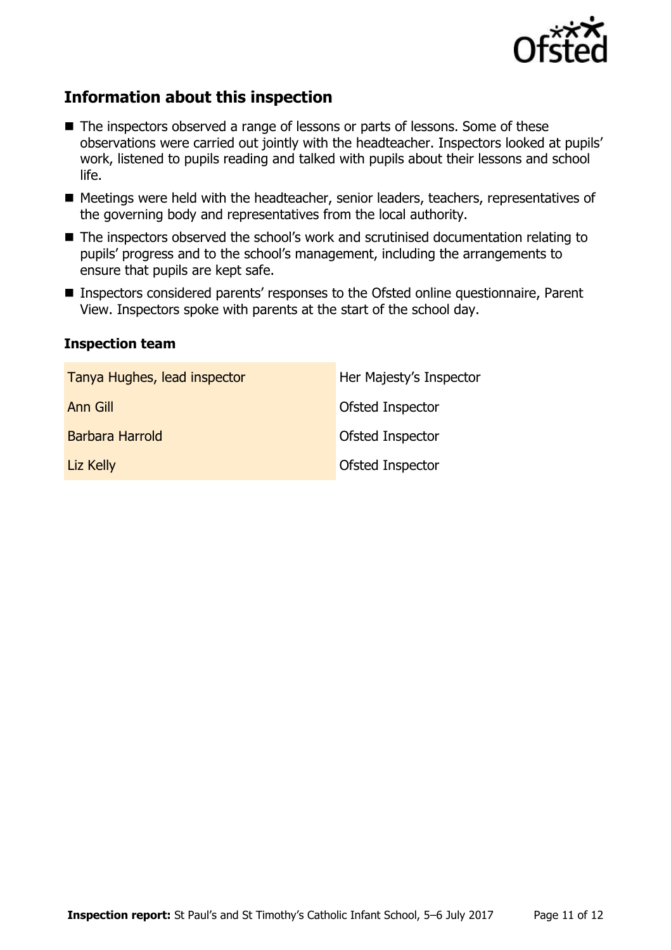

# **Information about this inspection**

- The inspectors observed a range of lessons or parts of lessons. Some of these observations were carried out jointly with the headteacher. Inspectors looked at pupils' work, listened to pupils reading and talked with pupils about their lessons and school life.
- Meetings were held with the headteacher, senior leaders, teachers, representatives of the governing body and representatives from the local authority.
- The inspectors observed the school's work and scrutinised documentation relating to pupils' progress and to the school's management, including the arrangements to ensure that pupils are kept safe.
- Inspectors considered parents' responses to the Ofsted online questionnaire, Parent View. Inspectors spoke with parents at the start of the school day.

#### **Inspection team**

| Tanya Hughes, lead inspector | Her Majesty's Inspector |
|------------------------------|-------------------------|
| Ann Gill                     | <b>Ofsted Inspector</b> |
| Barbara Harrold              | <b>Ofsted Inspector</b> |
| Liz Kelly                    | <b>Ofsted Inspector</b> |